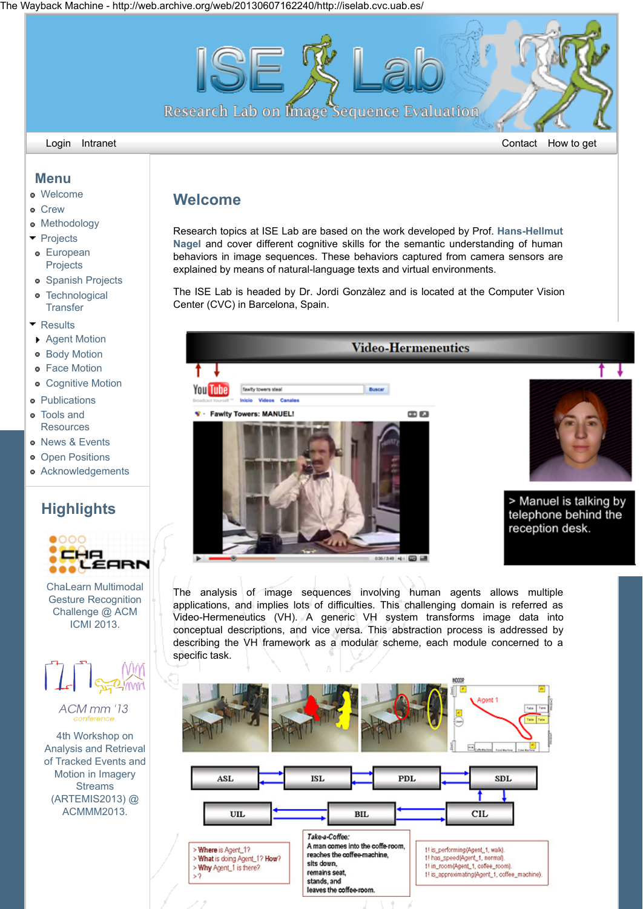The Wayback Machine - http://web.archive.org/web/20130607162240/http://iselab.cvc.uab.es/



## **Welcome**

[Research topics at ISE Lab are based on the work developed by Prof.](http://web.archive.org/web/20130607162240/http://www.springerlink.com/content/t72864461t52u686/) **Hans-Hellmut Nagel** and cover different cognitive skills for the semantic understanding of human behaviors in image sequences. These behaviors captured from camera sensors are explained by means of natural-language texts and virtual environments.

The ISE Lab is headed by Dr. Jordi Gonzàlez and is located at the Computer Vision Center (CVC) in Barcelona, Spain.



035/349 中国国

The analysis of image sequences involving human agents allows multiple applications, and implies lots of difficulties. This challenging domain is referred as Video-Hermeneutics (VH). A generic VH system transforms image data into conceptual descriptions, and vice versa. This abstraction process is addressed by describing the VH framework as a modular scheme, each module concerned to a specific task.



**Menu**

- [Welcome](http://web.archive.org/web/20130607162240/http://iselab.cvc.uab.es/)
- **o** [Crew](http://web.archive.org/web/20130607162240/http://iselab.cvc.uab.es/crew)
- **•** [Methodology](http://web.archive.org/web/20130607162240/http://iselab.cvc.uab.es/methodology)
- [Projects](http://web.archive.org/web/20130607162240/http://iselab.cvc.uab.es/projects)
- **e** [European](http://web.archive.org/web/20130607162240/http://iselab.cvc.uab.es/european-projects) **Projects**
- **•** [Spanish Projects](http://web.archive.org/web/20130607162240/http://iselab.cvc.uab.es/spanish-projects)
- **[Technological](http://web.archive.org/web/20130607162240/http://iselab.cvc.uab.es/technological_transfer)**  $\ddot{\phantom{0}}$ **Transfer**
- **T** [Results](http://web.archive.org/web/20130607162240/http://iselab.cvc.uab.es/results)
- ▶ [Agent Motion](http://web.archive.org/web/20130607162240/http://iselab.cvc.uab.es/agent-motion)
- **[Body Motion](http://web.archive.org/web/20130607162240/http://iselab.cvc.uab.es/body_motion)**
- **•** [Face Motion](http://web.archive.org/web/20130607162240/http://iselab.cvc.uab.es/face_motion)
- **[Cognitive Motion](http://web.archive.org/web/20130607162240/http://iselab.cvc.uab.es/cognitive_motion)**
- **•** [Publications](http://web.archive.org/web/20130607162240/http://iselab.cvc.uab.es/publications)
- Tools and **[Resources](http://web.archive.org/web/20130607162240/http://iselab.cvc.uab.es/tools-and-resources)**
- **o** [News & Events](http://web.archive.org/web/20130607162240/http://iselab.cvc.uab.es/news-events)
- **•** [Open Positions](http://web.archive.org/web/20130607162240/http://iselab.cvc.uab.es/open-positions)
- **•** [Acknowledgements](http://web.archive.org/web/20130607162240/http://iselab.cvc.uab.es/acknowledgements)

## **Highlights**



[ChaLearn Multimodal](http://web.archive.org/web/20130607162240/http://gesture.chalearn.org/) Gesture Recognition Challenge @ ACM ICMI 2013.



ACM<sub>mm'13</sub> conference

4th Workshop on Analysis and Retrieval [of Tracked Events and](http://web.archive.org/web/20130607162240/http://www.artemis2013.tuc.gr/) Motion in Imagery **Streams** (ARTEMIS2013) @ ACMMM2013.